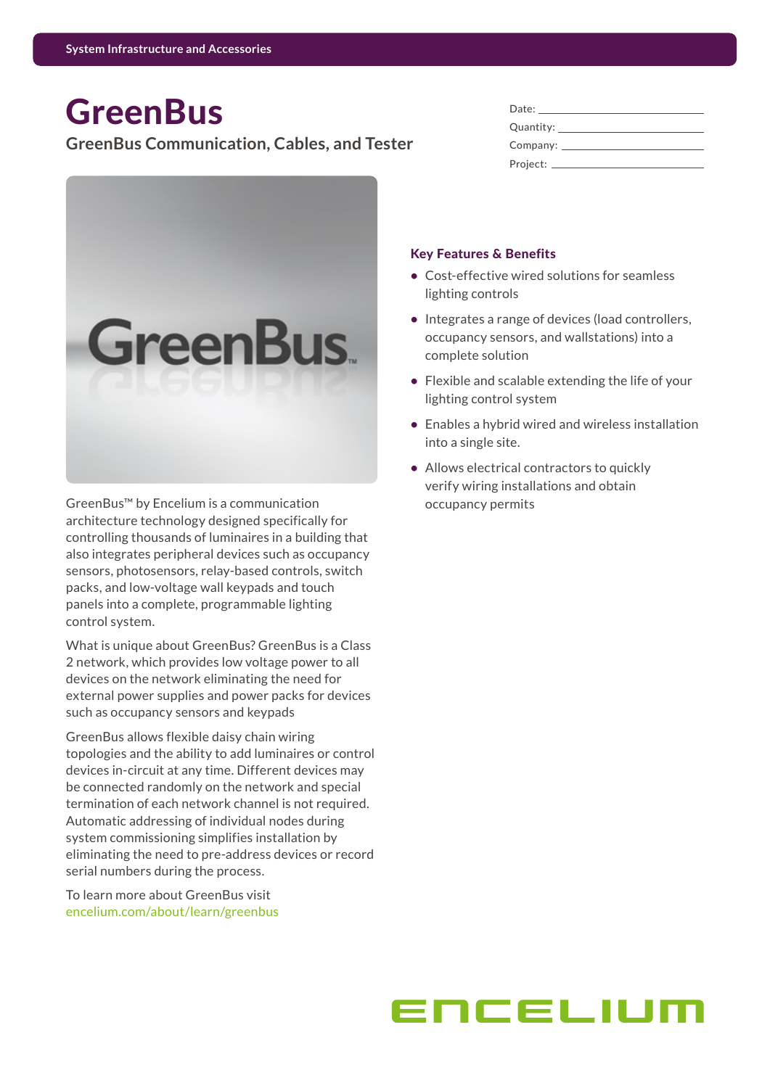# **GreenBus**

## **GreenBus Communication, Cables, and Tester**



GreenBus™ by Encelium is a communication architecture technology designed specifically for controlling thousands of luminaires in a building that also integrates peripheral devices such as occupancy sensors, photosensors, relay-based controls, switch packs, and low-voltage wall keypads and touch panels into a complete, programmable lighting control system.

What is unique about GreenBus? GreenBus is a Class 2 network, which provides low voltage power to all devices on the network eliminating the need for external power supplies and power packs for devices such as occupancy sensors and keypads

GreenBus allows flexible daisy chain wiring topologies and the ability to add luminaires or control devices in-circuit at any time. Different devices may be connected randomly on the network and special termination of each network channel is not required. Automatic addressing of individual nodes during system commissioning simplifies installation by eliminating the need to pre-address devices or record serial numbers during the process.

To learn more about GreenBus visit [encelium.com/about/learn/greenbus](https://encelium.com/about/learn/greenbus )

| Date:                  |
|------------------------|
| Quantity:              |
| Company: $\mathcal{L}$ |
| Project:               |

#### Key Features & Benefits

- **•** Cost-effective wired solutions for seamless lighting controls
- **•** Integrates a range of devices (load controllers, occupancy sensors, and wallstations) into a complete solution
- **•** Flexible and scalable extending the life of your lighting control system
- **•** Enables a hybrid wired and wireless installation into a single site.
- **•** Allows electrical contractors to quickly verify wiring installations and obtain occupancy permits

# ENCELIU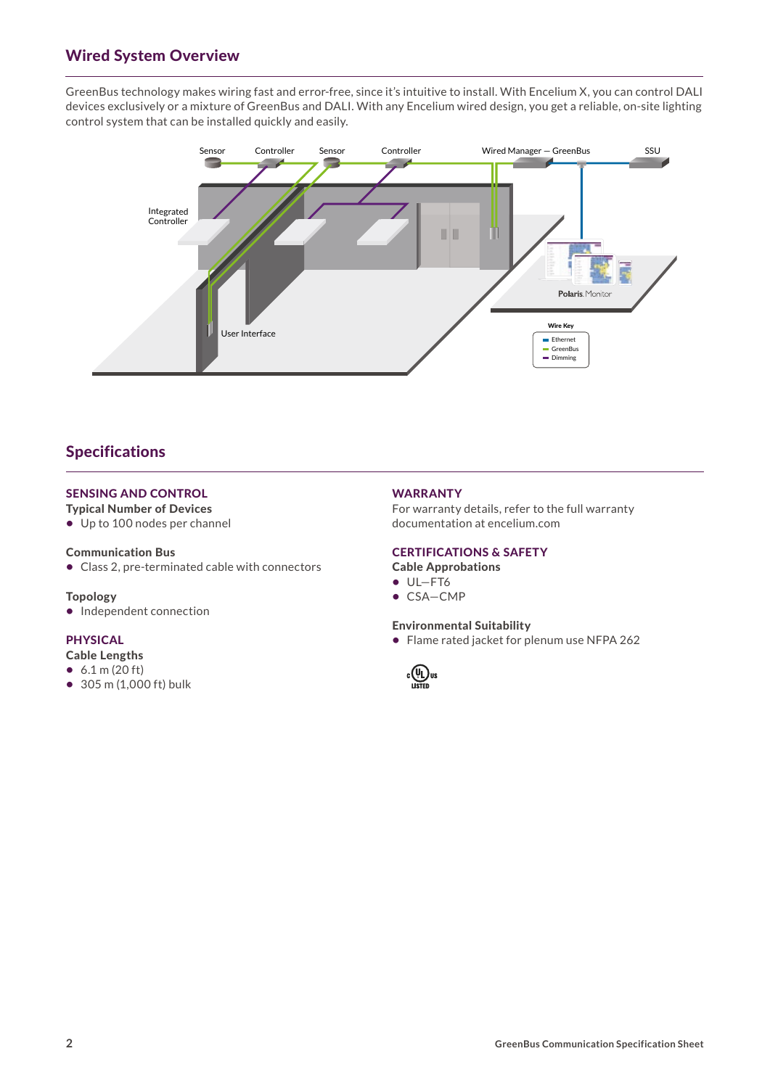## Wired System Overview

GreenBus technology makes wiring fast and error-free, since it's intuitive to install. With Encelium X, you can control DALI devices exclusively or a mixture of GreenBus and DALI. With any Encelium wired design, you get a reliable, on-site lighting control system that can be installed quickly and easily.



## Specifications

### SENSING AND CONTROL

### Typical Number of Devices

**•** Up to 100 nodes per channel

#### Communication Bus

**•** Class 2, pre-terminated cable with connectors

#### Topology

**•** Independent connection

#### PHYSICAL

- Cable Lengths
- **•** 6.1 m (20 ft)
- **•** 305 m (1,000 ft) bulk

#### WARRANTY

For warranty details, refer to the full warranty documentation at [encelium.com](https://encelium.com)

#### CERTIFICATIONS & SAFETY

## Cable Approbations

- **•** UL—FT6
- **•** CSA—CMP

#### Environmental Suitability

**•** Flame rated jacket for plenum use NFPA 262

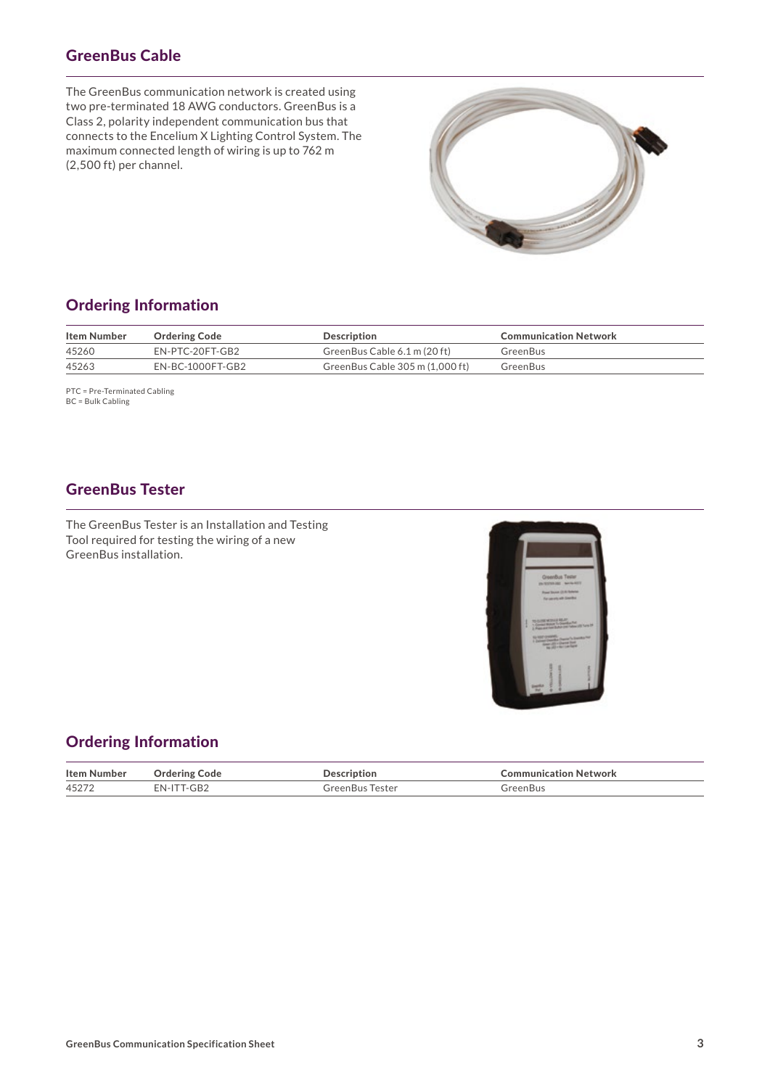# GreenBus Cable

The GreenBus communication network is created using two pre-terminated 18 AWG conductors. GreenBus is a Class 2, polarity independent communication bus that connects to the Encelium X Lighting Control System. The maximum connected length of wiring is up to 762 m (2,500 ft) per channel.



## Ordering Information

| Item Number | <b>Ordering Code</b> | Description                     | <b>Communication Network</b> |
|-------------|----------------------|---------------------------------|------------------------------|
| 45260       | EN-PTC-20FT-GB2      | GreenBus Cable 6.1 m (20 ft)    | GreenBus                     |
| 45263       | EN-BC-1000FT-GB2     | GreenBus Cable 305 m (1.000 ft) | GreenBus                     |

PTC = Pre-Terminated Cabling BC = Bulk Cabling

## GreenBus Tester

The GreenBus Tester is an Installation and Testing Tool required for testing the wiring of a new GreenBus installation.



## Ordering Information

| Iten                                             |                                                                                                                 |  |
|--------------------------------------------------|-----------------------------------------------------------------------------------------------------------------|--|
| 45<br>τ⊃∠<br>the contract of the contract of the | the contract of the contract of the contract of the contract of the contract of the contract of the contract of |  |